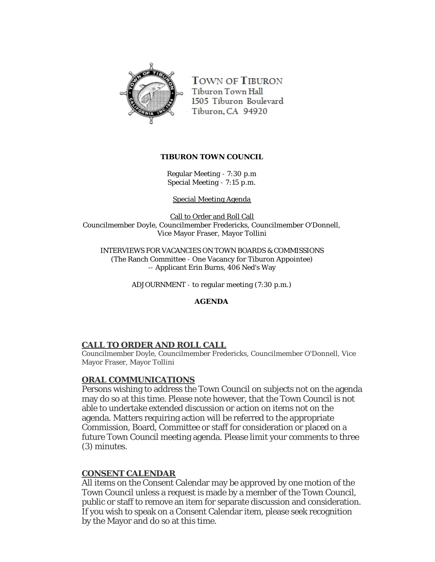

**TOWN OF TIBURON** Tiburon Town Hall 1505 Tiburon Boulevard Tiburon, CA 94920

#### **TIBURON TOWN COUNCIL**

Regular Meeting - 7:30 p.m Special Meeting - 7:15 p.m.

#### Special Meeting Agenda

Call to Order and Roll Call Councilmember Doyle, Councilmember Fredericks, Councilmember O'Donnell, Vice Mayor Fraser, Mayor Tollini

INTERVIEWS FOR VACANCIES ON TOWN BOARDS & COMMISSIONS (The Ranch Committee - One Vacancy for Tiburon Appointee) -- Applicant Erin Burns, 406 Ned's Way

ADJOURNMENT - to regular meeting (7:30 p.m.)

#### **AGENDA**

## **CALL TO ORDER AND ROLL CALL**

Councilmember Doyle, Councilmember Fredericks, Councilmember O'Donnell, Vice Mayor Fraser, Mayor Tollini

#### **ORAL COMMUNICATIONS**

Persons wishing to address the Town Council on subjects not on the agenda may do so at this time. Please note however, that the Town Council is not able to undertake extended discussion or action on items not on the agenda. Matters requiring action will be referred to the appropriate Commission, Board, Committee or staff for consideration or placed on a future Town Council meeting agenda. Please limit your comments to three (3) minutes.

#### **CONSENT CALENDAR**

All items on the Consent Calendar may be approved by one motion of the Town Council unless a request is made by a member of the Town Council, public or staff to remove an item for separate discussion and consideration. If you wish to speak on a Consent Calendar item, please seek recognition by the Mayor and do so at this time.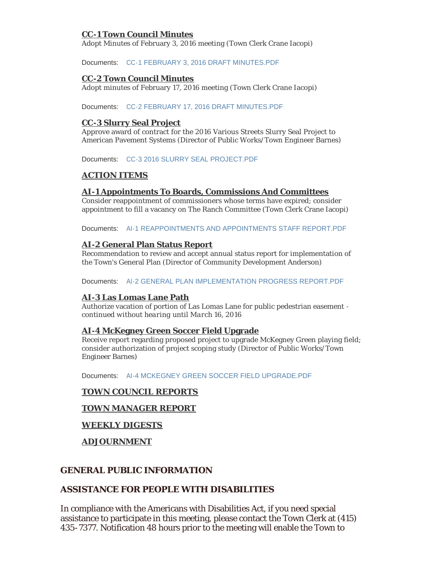## **CC-1 Town Council Minutes**

Adopt Minutes of February 3, 2016 meeting (Town Clerk Crane Iacopi)

Documents: [CC-1 FEBRUARY 3, 2016 DRAFT MINUTES.PDF](http://ca-tiburon.civicplus.com/AgendaCenter/ViewFile/Item/1787?fileID=1039)

### **CC-2 Town Council Minutes**

Adopt minutes of February 17, 2016 meeting (Town Clerk Crane Iacopi)

Documents: [CC-2 FEBRUARY 17, 2016 DRAFT MINUTES.PDF](http://ca-tiburon.civicplus.com/AgendaCenter/ViewFile/Item/1788?fileID=1040)

### **CC-3 Slurry Seal Project**

Approve award of contract for the 2016 Various Streets Slurry Seal Project to American Pavement Systems (Director of Public Works/Town Engineer Barnes)

Documents: [CC-3 2016 SLURRY SEAL PROJECT.PDF](http://ca-tiburon.civicplus.com/AgendaCenter/ViewFile/Item/1789?fileID=1041)

## **ACTION ITEMS**

#### **AI-1 Appointments To Boards, Commissions And Committees**

Consider reappointment of commissioners whose terms have expired; consider appointment to fill a vacancy on The Ranch Committee (Town Clerk Crane Iacopi)

Documents: [AI-1 REAPPOINTMENTS AND APPOINTMENTS STAFF REPORT.PDF](http://ca-tiburon.civicplus.com/AgendaCenter/ViewFile/Item/1790?fileID=1042)

#### **AI-2 General Plan Status Report**

Recommendation to review and accept annual status report for implementation of the Town's General Plan (Director of Community Development Anderson)

Documents: [AI-2 GENERAL PLAN IMPLEMENTATION PROGRESS REPORT.PDF](http://ca-tiburon.civicplus.com/AgendaCenter/ViewFile/Item/1791?fileID=1050)

#### **AI-3 Las Lomas Lane Path**

Authorize vacation of portion of Las Lomas Lane for public pedestrian easement *continued without hearing until March 16, 2016*

#### **AI-4 McKegney Green Soccer Field Upgrade**

Receive report regarding proposed project to upgrade McKegney Green playing field; consider authorization of project scoping study (Director of Public Works/Town Engineer Barnes)

Documents: [AI-4 MCKEGNEY GREEN SOCCER FIELD UPGRADE.PDF](http://ca-tiburon.civicplus.com/AgendaCenter/ViewFile/Item/1793?fileID=1044)

#### **TOWN COUNCIL REPORTS**

#### **TOWN MANAGER REPORT**

#### **WEEKLY DIGESTS**

#### **ADJOURNMENT**

## **GENERAL PUBLIC INFORMATION**

## **ASSISTANCE FOR PEOPLE WITH DISABILITIES**

In compliance with the Americans with Disabilities Act, if you need special assistance to participate in this meeting, please contact the Town Clerk at (415) 435-7377. Notification 48 hours prior to the meeting will enable the Town to